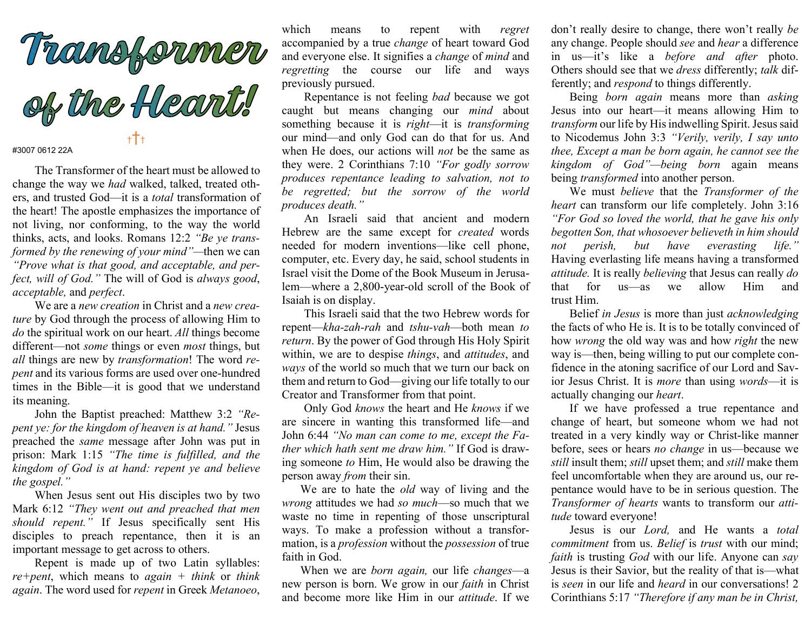

## #3007 0612 22A

The Transformer of the heart must be allowed to change the way we had walked, talked, treated others, and trusted God—it is a total transformation of the heart! The apostle emphasizes the importance of not living, nor conforming, to the way the world thinks, acts, and looks. Romans 12:2 "Be ye transformed by the renewing of your mind"—then we can "Prove what is that good, and acceptable, and perfect, will of God." The will of God is always good, acceptable, and perfect.

We are a new creation in Christ and a new creature by God through the process of allowing Him to do the spiritual work on our heart. All things become different—not *some* things or even *most* things, but all things are new by transformation! The word repent and its various forms are used over one-hundred times in the Bible—it is good that we understand its meaning.

John the Baptist preached: Matthew 3:2 "Repent ye: for the kingdom of heaven is at hand." Jesus preached the same message after John was put in prison: Mark 1:15 "The time is fulfilled, and the kingdom of God is at hand: repent ye and believe the gospel."

When Jesus sent out His disciples two by two Mark 6:12 "They went out and preached that men should repent." If Jesus specifically sent His disciples to preach repentance, then it is an important message to get across to others.

Repent is made up of two Latin syllables:  $re+pent$ , which means to *again* + think or think again. The word used for repent in Greek Metanoeo,

which means to repent with regret accompanied by a true change of heart toward God and everyone else. It signifies a change of mind and regretting the course our life and ways previously pursued.

Repentance is not feeling bad because we got caught but means changing our mind about something because it is right—it is transforming our mind—and only God can do that for us. And when He does, our actions will *not* be the same as they were. 2 Corinthians 7:10 "For godly sorrow produces repentance leading to salvation, not to be regretted; but the sorrow of the world produces death."

An Israeli said that ancient and modern Hebrew are the same except for created words needed for modern inventions—like cell phone, computer, etc. Every day, he said, school students in Israel visit the Dome of the Book Museum in Jerusalem—where a 2,800-year-old scroll of the Book of Isaiah is on display.

This Israeli said that the two Hebrew words for repent—kha-zah-rah and tshu-vah—both mean to return. By the power of God through His Holy Spirit within, we are to despise *things*, and *attitudes*, and ways of the world so much that we turn our back on them and return to God—giving our life totally to our Creator and Transformer from that point.

Only God knows the heart and He knows if we are sincere in wanting this transformed life—and John 6:44 "No man can come to me, except the Father which hath sent me draw him." If God is drawing someone to Him, He would also be drawing the person away from their sin.

We are to hate the *old* way of living and the wrong attitudes we had so much—so much that we waste no time in repenting of those unscriptural ways. To make a profession without a transformation, is a profession without the possession of true faith in God.

When we are *born again*, our life *changes*—a new person is born. We grow in our faith in Christ and become more like Him in our attitude. If we

don't really desire to change, there won't really be any change. People should see and hear a difference in us—it's like a before and after photo. Others should see that we dress differently; talk differently; and respond to things differently.

 Being born again means more than asking Jesus into our heart—it means allowing Him to transform our life by His indwelling Spirit. Jesus said to Nicodemus John 3:3 "Verily, verily, I say unto thee, Except a man be born again, he cannot see the kingdom of God"—being born again means being *transformed* into another person.

 We must believe that the Transformer of the heart can transform our life completely. John 3:16 "For God so loved the world, that he gave his only begotten Son, that whosoever believeth in him should not perish, but have everasting life." Having everlasting life means having a transformed attitude. It is really believing that Jesus can really do that for us—as we allow Him and trust Him.

 Belief in Jesus is more than just acknowledging the facts of who He is. It is to be totally convinced of how *wrong* the old way was and how *right* the new way is—then, being willing to put our complete confidence in the atoning sacrifice of our Lord and Savior Jesus Christ. It is more than using words—it is actually changing our heart.

 If we have professed a true repentance and change of heart, but someone whom we had not treated in a very kindly way or Christ-like manner before, sees or hears no change in us—because we still insult them; still upset them; and still make them feel uncomfortable when they are around us, our repentance would have to be in serious question. The Transformer of hearts wants to transform our attitude toward everyone!

 Jesus is our Lord, and He wants a total commitment from us. Belief is trust with our mind; faith is trusting God with our life. Anyone can say Jesus is their Savior, but the reality of that is—what is seen in our life and heard in our conversations! 2 Corinthians 5:17 "Therefore if any man be in Christ,